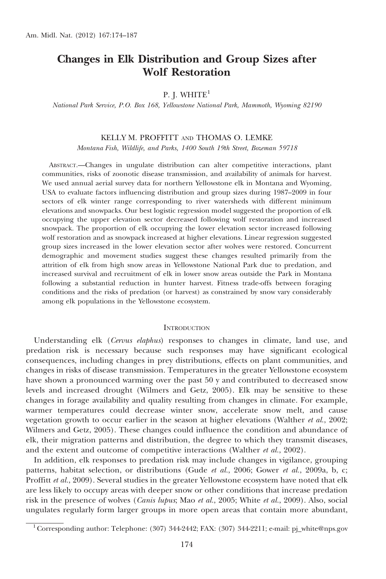# Changes in Elk Distribution and Group Sizes after Wolf Restoration

# P. J. WHITE $^1$

National Park Service, P.O. Box 168, Yellowstone National Park, Mammoth, Wyoming 82190

# KELLY M. PROFFITT AND THOMAS O. LEMKE

Montana Fish, Wildlife, and Parks, 1400 South 19th Street, Bozeman 59718

ABSTRACT.—Changes in ungulate distribution can alter competitive interactions, plant communities, risks of zoonotic disease transmission, and availability of animals for harvest. We used annual aerial survey data for northern Yellowstone elk in Montana and Wyoming, USA to evaluate factors influencing distribution and group sizes during 1987–2009 in four sectors of elk winter range corresponding to river watersheds with different minimum elevations and snowpacks. Our best logistic regression model suggested the proportion of elk occupying the upper elevation sector decreased following wolf restoration and increased snowpack. The proportion of elk occupying the lower elevation sector increased following wolf restoration and as snowpack increased at higher elevations. Linear regression suggested group sizes increased in the lower elevation sector after wolves were restored. Concurrent demographic and movement studies suggest these changes resulted primarily from the attrition of elk from high snow areas in Yellowstone National Park due to predation, and increased survival and recruitment of elk in lower snow areas outside the Park in Montana following a substantial reduction in hunter harvest. Fitness trade-offs between foraging conditions and the risks of predation (or harvest) as constrained by snow vary considerably among elk populations in the Yellowstone ecosystem.

#### **INTRODUCTION**

Understanding elk (Cervus elaphus) responses to changes in climate, land use, and predation risk is necessary because such responses may have significant ecological consequences, including changes in prey distributions, effects on plant communities, and changes in risks of disease transmission. Temperatures in the greater Yellowstone ecosystem have shown a pronounced warming over the past 50 y and contributed to decreased snow levels and increased drought (Wilmers and Getz, 2005). Elk may be sensitive to these changes in forage availability and quality resulting from changes in climate. For example, warmer temperatures could decrease winter snow, accelerate snow melt, and cause vegetation growth to occur earlier in the season at higher elevations (Walther et al., 2002; Wilmers and Getz, 2005). These changes could influence the condition and abundance of elk, their migration patterns and distribution, the degree to which they transmit diseases, and the extent and outcome of competitive interactions (Walther et al., 2002).

In addition, elk responses to predation risk may include changes in vigilance, grouping patterns, habitat selection, or distributions (Gude et al., 2006; Gower et al., 2009a, b, c; Proffitt et al., 2009). Several studies in the greater Yellowstone ecosystem have noted that elk are less likely to occupy areas with deeper snow or other conditions that increase predation risk in the presence of wolves (Canis lupus; Mao et al., 2005; White et al., 2009). Also, social ungulates regularly form larger groups in more open areas that contain more abundant,

<sup>&</sup>lt;sup>1</sup> Corresponding author: Telephone: (307) 344-2442; FAX: (307) 344-2211; e-mail: pj\_white@nps.gov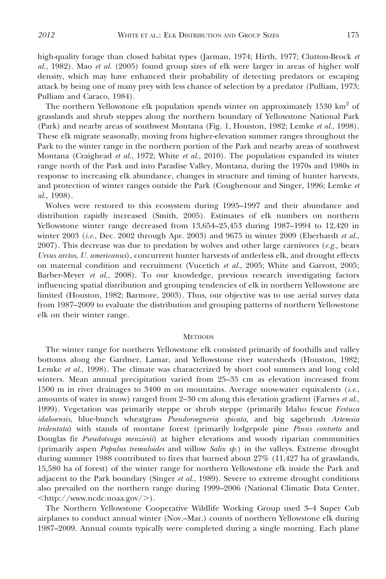high-quality forage than closed habitat types (Jarman, 1974; Hirth, 1977; Clutton-Brock et al., 1982). Mao et al. (2005) found group sizes of elk were larger in areas of higher wolf density, which may have enhanced their probability of detecting predators or escaping attack by being one of many prey with less chance of selection by a predator (Pulliam, 1973; Pulliam and Caraco, 1984).

The northern Yellowstone elk population spends winter on approximately  $1530 \text{ km}^2$  of grasslands and shrub steppes along the northern boundary of Yellowstone National Park (Park) and nearby areas of southwest Montana (Fig. 1, Houston, 1982; Lemke et al., 1998). These elk migrate seasonally, moving from higher-elevation summer ranges throughout the Park to the winter range in the northern portion of the Park and nearby areas of southwest Montana (Craighead et al., 1972; White et al., 2010). The population expanded its winter range north of the Park and into Paradise Valley, Montana, during the 1970s and 1980s in response to increasing elk abundance, changes in structure and timing of hunter harvests, and protection of winter ranges outside the Park (Coughenour and Singer, 1996; Lemke et al., 1998).

Wolves were restored to this ecosystem during 1995–1997 and their abundance and distribution rapidly increased (Smith, 2005). Estimates of elk numbers on northern Yellowstone winter range decreased from 13,654–25,453 during 1987–1994 to 12,420 in winter  $2003$  (i.e., Dec.  $2002$  through Apr.  $2003$ ) and  $9675$  in winter  $2009$  (Eberhardt et al., 2007). This decrease was due to predation by wolves and other large carnivores (e.g., bears Ursus arctos, U. americanus), concurrent hunter harvests of antlerless elk, and drought effects on maternal condition and recruitment (Vucetich et al., 2005; White and Garrott, 2005; Barber-Meyer et al., 2008). To our knowledge, previous research investigating factors influencing spatial distribution and grouping tendencies of elk in northern Yellowstone are limited (Houston, 1982; Barmore, 2003). Thus, our objective was to use aerial survey data from 1987–2009 to evaluate the distribution and grouping patterns of northern Yellowstone elk on their winter range.

#### **METHODS**

The winter range for northern Yellowstone elk consisted primarily of foothills and valley bottoms along the Gardner, Lamar, and Yellowstone river watersheds (Houston, 1982; Lemke et al., 1998). The climate was characterized by short cool summers and long cold winters. Mean annual precipitation varied from 25–35 cm as elevation increased from 1500 m in river drainages to 3400 m on mountains. Average snow-water equivalents (*i.e.*, amounts of water in snow) ranged from 2–30 cm along this elevation gradient (Farnes *et al.*, 1999). Vegetation was primarily steppe or shrub steppe (primarily Idaho fescue Festuca idahoensis, blue-bunch wheatgrass Pseudoroegneria spicata, and big sagebrush Artemsia tridentata) with stands of montane forest (primarily lodgepole pine Pinus contorta and Douglas fir Pseudotsuga menziesii) at higher elevations and woody riparian communities (primarily aspen Populus tremuloides and willow Salix sp.) in the valleys. Extreme drought during summer 1988 contributed to fires that burned about  $27\%$  (11,427 ha of grasslands, 15,580 ha of forest) of the winter range for northern Yellowstone elk inside the Park and adjacent to the Park boundary (Singer  $et al., 1989$ ). Severe to extreme drought conditions also prevailed on the northern range during 1999–2006 (National Climatic Data Center,  $\langle$ http://www.ncdc.noaa.gov/ $\rangle$ ).

The Northern Yellowstone Cooperative Wildlife Working Group used 3–4 Super Cub airplanes to conduct annual winter (Nov.–Mar.) counts of northern Yellowstone elk during 1987–2009. Annual counts typically were completed during a single morning. Each plane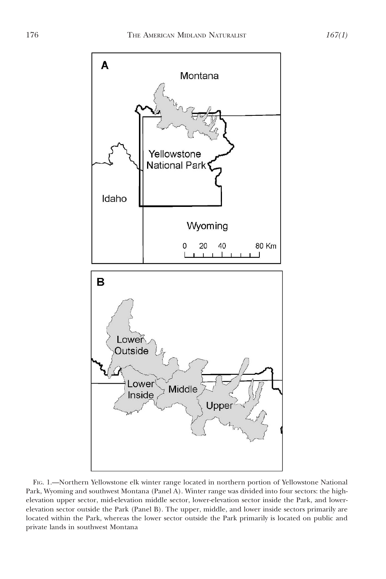

FIG. 1.—Northern Yellowstone elk winter range located in northern portion of Yellowstone National Park, Wyoming and southwest Montana (Panel A). Winter range was divided into four sectors: the highelevation upper sector, mid-elevation middle sector, lower-elevation sector inside the Park, and lowerelevation sector outside the Park (Panel B). The upper, middle, and lower inside sectors primarily are located within the Park, whereas the lower sector outside the Park primarily is located on public and private lands in southwest Montana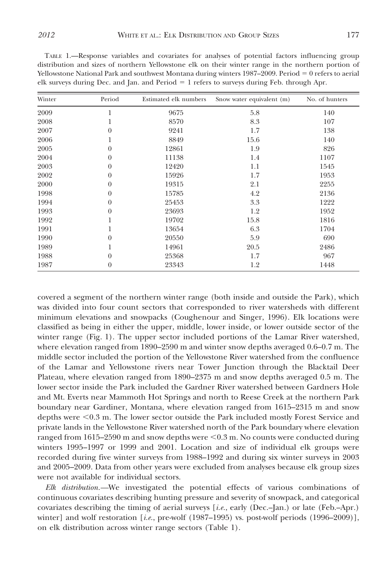| Winter | Period   | Estimated elk numbers | Snow water equivalent (m) | No. of hunters |
|--------|----------|-----------------------|---------------------------|----------------|
| 2009   | 1        | 9675                  | 5.8                       | 140            |
| 2008   |          | 8570                  | 8.3                       | 107            |
| 2007   | 0        | 9241                  | 1.7                       | 138            |
| 2006   |          | 8849                  | 15.6                      | 140            |
| 2005   | 0        | 12861                 | 1.9                       | 826            |
| 2004   | 0        | 11138                 | 1.4                       | 1107           |
| 2003   | 0        | 12420                 | 1.1                       | 1545           |
| 2002   | $_{0}$   | 15926                 | 1.7                       | 1953           |
| 2000   | $_{0}$   | 19315                 | 2.1                       | 2255           |
| 1998   | $_{0}$   | 15785                 | 4.2                       | 2136           |
| 1994   | 0        | 25453                 | 3.3                       | 1222           |
| 1993   | $\theta$ | 23693                 | 1.2                       | 1952           |
| 1992   |          | 19702                 | 15.8                      | 1816           |
| 1991   |          | 13654                 | 6.3                       | 1704           |
| 1990   | $\Omega$ | 20550                 | 5.9                       | 690            |
| 1989   |          | 14961                 | 20.5                      | 2486           |
| 1988   | 0        | 25368                 | 1.7                       | 967            |
| 1987   | $\theta$ | 23343                 | 1.2                       | 1448           |

TABLE 1.—Response variables and covariates for analyses of potential factors influencing group distribution and sizes of northern Yellowstone elk on their winter range in the northern portion of

covered a segment of the northern winter range (both inside and outside the Park), which was divided into four count sectors that corresponded to river watersheds with different minimum elevations and snowpacks (Coughenour and Singer, 1996). Elk locations were classified as being in either the upper, middle, lower inside, or lower outside sector of the winter range (Fig. 1). The upper sector included portions of the Lamar River watershed, where elevation ranged from 1890–2590 m and winter snow depths averaged 0.6–0.7 m. The middle sector included the portion of the Yellowstone River watershed from the confluence of the Lamar and Yellowstone rivers near Tower Junction through the Blacktail Deer Plateau, where elevation ranged from 1890–2375 m and snow depths averaged 0.5 m. The lower sector inside the Park included the Gardner River watershed between Gardners Hole and Mt. Everts near Mammoth Hot Springs and north to Reese Creek at the northern Park boundary near Gardiner, Montana, where elevation ranged from 1615–2315 m and snow depths were  $< 0.3$  m. The lower sector outside the Park included mostly Forest Service and private lands in the Yellowstone River watershed north of the Park boundary where elevation ranged from 1615–2590 m and snow depths were  $\leq 0.3$  m. No counts were conducted during winters 1995–1997 or 1999 and 2001. Location and size of individual elk groups were recorded during five winter surveys from 1988–1992 and during six winter surveys in 2003 and 2005–2009. Data from other years were excluded from analyses because elk group sizes were not available for individual sectors.

Elk distribution.—We investigated the potential effects of various combinations of continuous covariates describing hunting pressure and severity of snowpack, and categorical covariates describing the timing of aerial surveys  $[i.e.,$  early (Dec.–Jan.) or late (Feb.–Apr.) winter] and wolf restoration  $[i.e.,$  pre-wolf  $(1987–1995)$  vs. post-wolf periods  $(1996–2009)$ ], on elk distribution across winter range sectors (Table 1).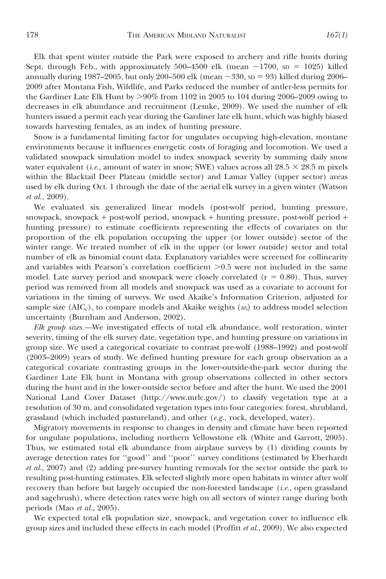Elk that spent winter outside the Park were exposed to archery and rifle hunts during Sept. through Feb., with approximately 500–4500 elk (mean  $\sim$ 1700, sp = 1025) killed annually during 1987–2005, but only 200–500 elk (mean  $\sim$  330, sp = 93) killed during 2006– 2009 after Montana Fish, Wildlife, and Parks reduced the number of antler-less permits for the Gardiner Late Elk Hunt by  $>90\%$  from 1102 in 2005 to 104 during 2006–2009 owing to decreases in elk abundance and recruitment (Lemke, 2009). We used the number of elk hunters issued a permit each year during the Gardiner late elk hunt, which was highly biased towards harvesting females, as an index of hunting pressure.

Snow is a fundamental limiting factor for ungulates occupying high-elevation, montane environments because it influences energetic costs of foraging and locomotion. We used a validated snowpack simulation model to index snowpack severity by summing daily snow water equivalent (*i.e.*, amount of water in snow; SWE) values across all  $28.5 \times 28.5$  m pixels within the Blacktail Deer Plateau (middle sector) and Lamar Valley (upper sector) areas used by elk during Oct. 1 through the date of the aerial elk survey in a given winter (Watson et al., 2009).

We evaluated six generalized linear models (post-wolf period, hunting pressure, snowpack, snowpack + post-wolf period, snowpack + hunting pressure, post-wolf period + hunting pressure) to estimate coefficients representing the effects of covariates on the proportion of the elk population occupying the upper (or lower outside) sector of the winter range. We treated number of elk in the upper (or lower outside) sector and total number of elk as binomial count data. Explanatory variables were screened for collinearity and variables with Pearson's correlation coefficient  $>0.5$  were not included in the same model. Late survey period and snowpack were closely correlated  $(r = 0.80)$ . Thus, survey period was removed from all models and snowpack was used as a covariate to account for variations in the timing of surveys. We used Akaike's Information Criterion, adjusted for sample size ( $AIC<sub>c</sub>$ ), to compare models and Akaike weights ( $w<sub>i</sub>$ ) to address model selection uncertainty (Burnham and Anderson, 2002).

Elk group sizes.—We investigated effects of total elk abundance, wolf restoration, winter severity, timing of the elk survey date, vegetation type, and hunting pressure on variations in group size. We used a categorical covariate to contrast pre-wolf (1988–1992) and post-wolf (2003–2009) years of study. We defined hunting pressure for each group observation as a categorical covariate contrasting groups in the lower-outside-the-park sector during the Gardiner Late Elk hunt in Montana with group observations collected in other sectors during the hunt and in the lower-outside sector before and after the hunt. We used the 2001 National Land Cover Dataset (http://www.mrlc.gov/) to classify vegetation type at a resolution of 30 m, and consolidated vegetation types into four categories: forest, shrubland, grassland (which included pastureland), and other  $(e.g., rock, developed, water)$ .

Migratory movements in response to changes in density and climate have been reported for ungulate populations, including northern Yellowstone elk (White and Garrott, 2005). Thus, we estimated total elk abundance from airplane surveys by (1) dividing counts by average detection rates for ''good'' and ''poor'' survey conditions (estimated by Eberhardt et al., 2007) and (2) adding pre-survey hunting removals for the sector outside the park to resulting post-hunting estimates. Elk selected slightly more open habitats in winter after wolf recovery than before but largely occupied the non-forested landscape (i.e., open grassland and sagebrush), where detection rates were high on all sectors of winter range during both periods (Mao et al., 2005).

We expected total elk population size, snowpack, and vegetation cover to influence elk group sizes and included these effects in each model (Proffitt et al., 2009). We also expected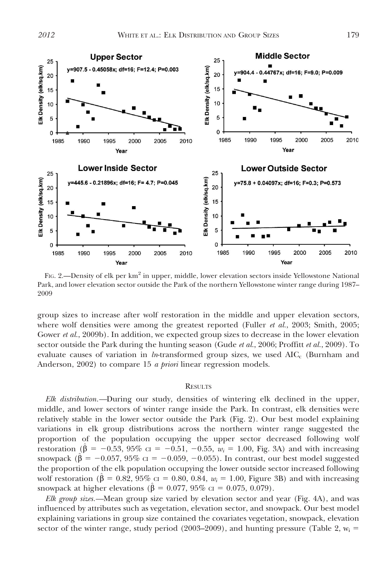

FIG. 2.—Density of elk per km<sup>2</sup> in upper, middle, lower elevation sectors inside Yellowstone National Park, and lower elevation sector outside the Park of the northern Yellowstone winter range during 1987– 2009

group sizes to increase after wolf restoration in the middle and upper elevation sectors, where wolf densities were among the greatest reported (Fuller  $et al., 2003$ ; Smith, 2005; Gower et al., 2009b). In addition, we expected group sizes to decrease in the lower elevation sector outside the Park during the hunting season (Gude  $et al., 2006$ ; Proffitt  $et al., 2009$ ). To evaluate causes of variation in ln-transformed group sizes, we used  $AIC_c$  (Burnham and Anderson, 2002) to compare 15 *a priori* linear regression models.

# **RESULTS**

Elk distribution.—During our study, densities of wintering elk declined in the upper, middle, and lower sectors of winter range inside the Park. In contrast, elk densities were relatively stable in the lower sector outside the Park (Fig. 2). Our best model explaining variations in elk group distributions across the northern winter range suggested the proportion of the population occupying the upper sector decreased following wolf restoration  $(\hat{\beta} = -0.53, 95\% \text{ or } = -0.51, -0.55, w_i = 1.00, \text{ Fig. 3A})$  and with increasing snowpack ( $\hat{\beta} = -0.057$ , 95% ci = -0.059, -0.055). In contrast, our best model suggested the proportion of the elk population occupying the lower outside sector increased following wolf restoration ( $\hat{\beta} = 0.82$ ,  $95\%$  CI = 0.80, 0.84,  $w_i = 1.00$ , Figure 3B) and with increasing snowpack at higher elevations ( $\hat{\beta} = 0.077, 95\%$  cI = 0.075, 0.079).

Elk group sizes.—Mean group size varied by elevation sector and year (Fig. 4A), and was influenced by attributes such as vegetation, elevation sector, and snowpack. Our best model explaining variations in group size contained the covariates vegetation, snowpack, elevation sector of the winter range, study period (2003–2009), and hunting pressure (Table 2,  $w_i$  =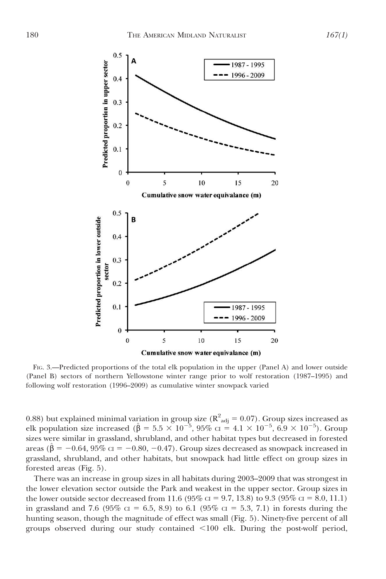

FIG. 3.—Predicted proportions of the total elk population in the upper (Panel A) and lower outside (Panel B) sectors of northern Yellowstone winter range prior to wolf restoration (1987–1995) and following wolf restoration (1996–2009) as cumulative winter snowpack varied

0.88) but explained minimal variation in group size ( $R^2_{\text{adj}} = 0.07$ ). Group sizes increased as elk population size increased ( $\hat{\beta} = 5.5 \times 10^{-5}$ ,  $95\%$  cr = 4.1  $\times$  10<sup>-5</sup>,  $6.9 \times 10^{-5}$ ). Group sizes were similar in grassland, shrubland, and other habitat types but decreased in forested areas ( $\hat{\beta} = -0.64$ ,  $95\%$  ci = -0.80, -0.47). Group sizes decreased as snowpack increased in grassland, shrubland, and other habitats, but snowpack had little effect on group sizes in forested areas (Fig. 5).

There was an increase in group sizes in all habitats during 2003–2009 that was strongest in the lower elevation sector outside the Park and weakest in the upper sector. Group sizes in the lower outside sector decreased from 11.6 (95%  $\text{CI} = 9.7, 13.8$ ) to 9.3 (95%  $\text{CI} = 8.0, 11.1$ ) in grassland and 7.6 (95%  $\text{CI} = 6.5, 8.9$ ) to 6.1 (95%  $\text{CI} = 5.3, 7.1$ ) in forests during the hunting season, though the magnitude of effect was small (Fig. 5). Ninety-five percent of all groups observed during our study contained  $\leq 100$  elk. During the post-wolf period,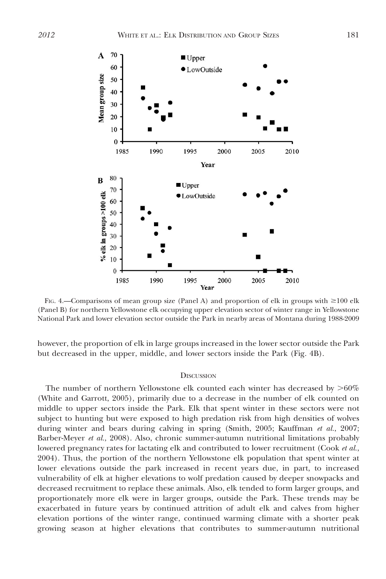

FIG. 4.—Comparisons of mean group size (Panel A) and proportion of elk in groups with  $\geq 100$  elk (Panel B) for northern Yellowstone elk occupying upper elevation sector of winter range in Yellowstone National Park and lower elevation sector outside the Park in nearby areas of Montana during 1988-2009

however, the proportion of elk in large groups increased in the lower sector outside the Park but decreased in the upper, middle, and lower sectors inside the Park (Fig. 4B).

## **DISCUSSION**

The number of northern Yellowstone elk counted each winter has decreased by  $>60\%$ (White and Garrott, 2005), primarily due to a decrease in the number of elk counted on middle to upper sectors inside the Park. Elk that spent winter in these sectors were not subject to hunting but were exposed to high predation risk from high densities of wolves during winter and bears during calving in spring (Smith, 2005; Kauffman et al., 2007; Barber-Meyer et al., 2008). Also, chronic summer-autumn nutritional limitations probably lowered pregnancy rates for lactating elk and contributed to lower recruitment (Cook et al., 2004). Thus, the portion of the northern Yellowstone elk population that spent winter at lower elevations outside the park increased in recent years due, in part, to increased vulnerability of elk at higher elevations to wolf predation caused by deeper snowpacks and decreased recruitment to replace these animals. Also, elk tended to form larger groups, and proportionately more elk were in larger groups, outside the Park. These trends may be exacerbated in future years by continued attrition of adult elk and calves from higher elevation portions of the winter range, continued warming climate with a shorter peak growing season at higher elevations that contributes to summer-autumn nutritional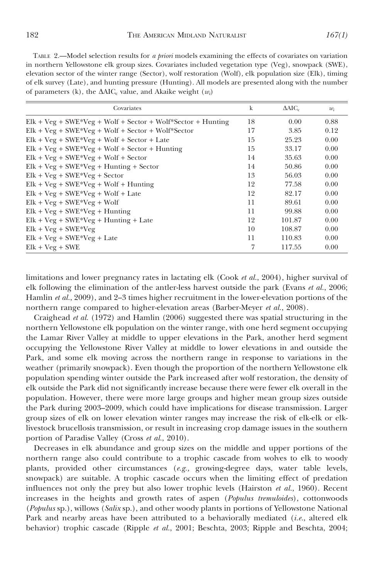TABLE 2.—Model selection results for a priori models examining the effects of covariates on variation in northern Yellowstone elk group sizes. Covariates included vegetation type (Veg), snowpack (SWE), elevation sector of the winter range (Sector), wolf restoration (Wolf), elk population size (Elk), timing of elk survey (Late), and hunting pressure (Hunting). All models are presented along with the number of parameters (k), the  $\Delta AIC_c$  value, and Akaike weight ( $w_i$ )

| Covariates                                                    | $\mathbf k$ | $\Delta AIC_c$ | $w_i$ |
|---------------------------------------------------------------|-------------|----------------|-------|
| $Elk + Veg + SWE*Veg + Wolf + Sector + Wolf*Sector + Hunting$ | 18          | 0.00           | 0.88  |
| $Elk + Veg + SWE*Veg + Wolf + Sector + Wolf*Sector$           | 17          | 3.85           | 0.12  |
| $Elk + Veg + SWE*Veg + Wolf + Sector + Late$                  | 15          | 25.23          | 0.00  |
| $Elk + Veg + SWE*Veg + Wolf + Sector + Hunting$               | 15          | 33.17          | 0.00  |
| $Elk + Veg + SWE*Veg + Wolf + Sector$                         | 14          | 35.63          | 0.00  |
| $Elk + Veg + SWE*Veg + Hunting + Sector$                      | 14          | 50.86          | 0.00  |
| $Elk + Veg + SWE*Veg + Sector$                                | 13          | 56.03          | 0.00  |
| $Elk + Veg + SWE*Veg + Wolf + Hunting$                        | 12          | 77.58          | 0.00  |
| $Elk + Veg + SWE*Veg + Wolf + Late$                           | 12          | 82.17          | 0.00  |
| $Elk + Veg + SWE*Veg + Wolf$                                  | 11          | 89.61          | 0.00  |
| $Elk + Veg + SWE*Veg + Hunting$                               | 11          | 99.88          | 0.00  |
| $Elk + Veg + SWE*Veg + Hunting + Late$                        | 12          | 101.87         | 0.00  |
| $Elk + Veg + SWE*Veg$                                         | 10          | 108.87         | 0.00  |
| $Elk + Veg + SWE*Veg + Late$                                  | 11          | 110.83         | 0.00  |
| $Elk + Veg + SWE$                                             | 7           | 117.55         | 0.00  |

limitations and lower pregnancy rates in lactating elk (Cook et al., 2004), higher survival of elk following the elimination of the antler-less harvest outside the park (Evans et al., 2006; Hamlin et al., 2009), and 2–3 times higher recruitment in the lower-elevation portions of the northern range compared to higher-elevation areas (Barber-Meyer et al., 2008).

Craighead et al. (1972) and Hamlin (2006) suggested there was spatial structuring in the northern Yellowstone elk population on the winter range, with one herd segment occupying the Lamar River Valley at middle to upper elevations in the Park, another herd segment occupying the Yellowstone River Valley at middle to lower elevations in and outside the Park, and some elk moving across the northern range in response to variations in the weather (primarily snowpack). Even though the proportion of the northern Yellowstone elk population spending winter outside the Park increased after wolf restoration, the density of elk outside the Park did not significantly increase because there were fewer elk overall in the population. However, there were more large groups and higher mean group sizes outside the Park during 2003–2009, which could have implications for disease transmission. Larger group sizes of elk on lower elevation winter ranges may increase the risk of elk-elk or elklivestock brucellosis transmission, or result in increasing crop damage issues in the southern portion of Paradise Valley (Cross et al., 2010).

Decreases in elk abundance and group sizes on the middle and upper portions of the northern range also could contribute to a trophic cascade from wolves to elk to woody plants, provided other circumstances (e.g., growing-degree days, water table levels, snowpack) are suitable. A trophic cascade occurs when the limiting effect of predation influences not only the prey but also lower trophic levels (Hairston et al., 1960). Recent increases in the heights and growth rates of aspen (*Populus tremuloides*), cottonwoods (Populus sp.), willows (Salix sp.), and other woody plants in portions of Yellowstone National Park and nearby areas have been attributed to a behaviorally mediated (*i.e.*, altered elk behavior) trophic cascade (Ripple et al., 2001; Beschta, 2003; Ripple and Beschta, 2004;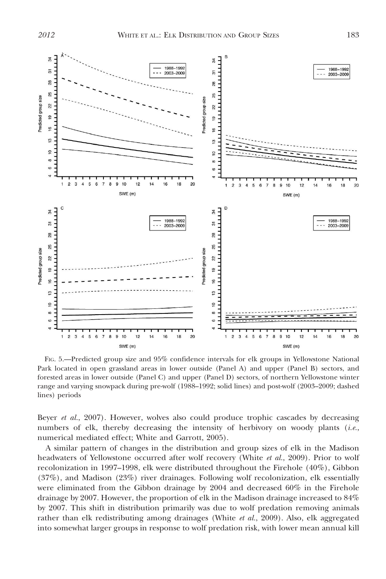

FIG. 5.—Predicted group size and 95% confidence intervals for elk groups in Yellowstone National Park located in open grassland areas in lower outside (Panel A) and upper (Panel B) sectors, and forested areas in lower outside (Panel C) and upper (Panel D) sectors, of northern Yellowstone winter range and varying snowpack during pre-wolf (1988–1992; solid lines) and post-wolf (2003–2009; dashed lines) periods

Beyer et al., 2007). However, wolves also could produce trophic cascades by decreasing numbers of elk, thereby decreasing the intensity of herbivory on woody plants (*i.e.*, numerical mediated effect; White and Garrott, 2005).

A similar pattern of changes in the distribution and group sizes of elk in the Madison headwaters of Yellowstone occurred after wolf recovery (White et al., 2009). Prior to wolf recolonization in 1997–1998, elk were distributed throughout the Firehole (40%), Gibbon (37%), and Madison (23%) river drainages. Following wolf recolonization, elk essentially were eliminated from the Gibbon drainage by 2004 and decreased 60% in the Firehole drainage by 2007. However, the proportion of elk in the Madison drainage increased to  $84\%$ by 2007. This shift in distribution primarily was due to wolf predation removing animals rather than elk redistributing among drainages (White et al., 2009). Also, elk aggregated into somewhat larger groups in response to wolf predation risk, with lower mean annual kill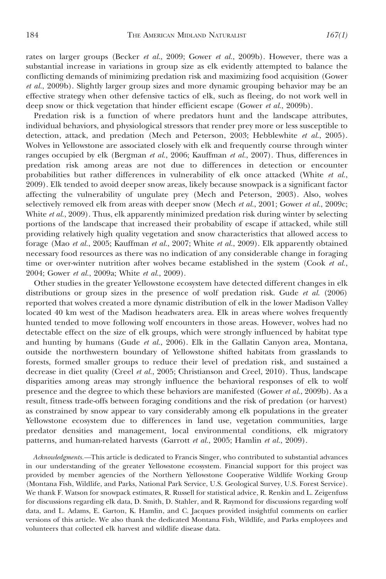rates on larger groups (Becker *et al.*, 2009; Gower *et al.*, 2009b). However, there was a substantial increase in variations in group size as elk evidently attempted to balance the conflicting demands of minimizing predation risk and maximizing food acquisition (Gower et al., 2009b). Slightly larger group sizes and more dynamic grouping behavior may be an effective strategy when other defensive tactics of elk, such as fleeing, do not work well in deep snow or thick vegetation that hinder efficient escape (Gower *et al.*, 2009b).

Predation risk is a function of where predators hunt and the landscape attributes, individual behaviors, and physiological stressors that render prey more or less susceptible to detection, attack, and predation (Mech and Peterson, 2003; Hebblewhite et al., 2005). Wolves in Yellowstone are associated closely with elk and frequently course through winter ranges occupied by elk (Bergman et al., 2006; Kauffman et al., 2007). Thus, differences in predation risk among areas are not due to differences in detection or encounter probabilities but rather differences in vulnerability of elk once attacked (White et al., 2009). Elk tended to avoid deeper snow areas, likely because snowpack is a significant factor affecting the vulnerability of ungulate prey (Mech and Peterson, 2003). Also, wolves selectively removed elk from areas with deeper snow (Mech et al., 2001; Gower et al., 2009c; White et al., 2009). Thus, elk apparently minimized predation risk during winter by selecting portions of the landscape that increased their probability of escape if attacked, while still providing relatively high quality vegetation and snow characteristics that allowed access to forage (Mao et al., 2005; Kauffman et al., 2007; White et al., 2009). Elk apparently obtained necessary food resources as there was no indication of any considerable change in foraging time or over-winter nutrition after wolves became established in the system (Cook  $et al.,$ 2004; Gower et al., 2009a; White et al., 2009).

Other studies in the greater Yellowstone ecosystem have detected different changes in elk distributions or group sizes in the presence of wolf predation risk. Gude  $et$  al. (2006) reported that wolves created a more dynamic distribution of elk in the lower Madison Valley located 40 km west of the Madison headwaters area. Elk in areas where wolves frequently hunted tended to move following wolf encounters in those areas. However, wolves had no detectable effect on the size of elk groups, which were strongly influenced by habitat type and hunting by humans (Gude  $et$  al., 2006). Elk in the Gallatin Canyon area, Montana, outside the northwestern boundary of Yellowstone shifted habitats from grasslands to forests, formed smaller groups to reduce their level of predation risk, and sustained a decrease in diet quality (Creel et al., 2005; Christianson and Creel, 2010). Thus, landscape disparities among areas may strongly influence the behavioral responses of elk to wolf presence and the degree to which these behaviors are manifested (Gower et al., 2009b). As a result, fitness trade-offs between foraging conditions and the risk of predation (or harvest) as constrained by snow appear to vary considerably among elk populations in the greater Yellowstone ecosystem due to differences in land use, vegetation communities, large predator densities and management, local environmental conditions, elk migratory patterns, and human-related harvests (Garrott et al., 2005; Hamlin et al., 2009).

Acknowledgments.—This article is dedicated to Francis Singer, who contributed to substantial advances in our understanding of the greater Yellowstone ecosystem. Financial support for this project was provided by member agencies of the Northern Yellowstone Cooperative Wildlife Working Group (Montana Fish, Wildlife, and Parks, National Park Service, U.S. Geological Survey, U.S. Forest Service). We thank F. Watson for snowpack estimates, R. Russell for statistical advice, R. Renkin and L. Zeigenfuss for discussions regarding elk data, D. Smith, D. Stahler, and R. Raymond for discussions regarding wolf data, and L. Adams, E. Garton, K. Hamlin, and C. Jacques provided insightful comments on earlier versions of this article. We also thank the dedicated Montana Fish, Wildlife, and Parks employees and volunteers that collected elk harvest and wildlife disease data.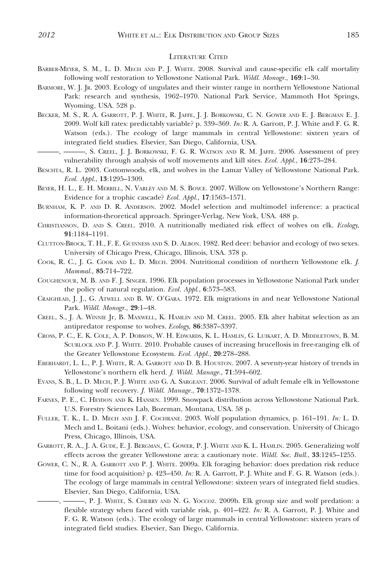## LITERATURE CITED

- BARBER-MEYER, S. M., L. D. MECH AND P. J. WHITE. 2008. Survival and cause-specific elk calf mortality following wolf restoration to Yellowstone National Park. Wildl. Monogr., 169:1–30.
- BARMORE, W. J. JR. 2003. Ecology of ungulates and their winter range in northern Yellowstone National Park: research and synthesis, 1962–1970. National Park Service, Mammoth Hot Springs, Wyoming, USA. 528 p.
- BECKER, M. S., R. A. GARROTT, P. J. WHITE, R. JAFFE, J. J. BORKOWSKI, C. N. GOWER AND E. J. BERGMAN E. J. 2009. Wolf kill rates: predictably variable? p. 339–369. In: R. A. Garrott, P. J. White and F. G. R. Watson (eds.). The ecology of large mammals in central Yellowstone: sixteen years of integrated field studies. Elsevier, San Diego, California, USA.
	- ———, ———, S. CREEL, J. J. BORKOWSKI, F. G. R. WATSON AND R. M. JAFFE. 2006. Assessment of prey vulnerability through analysis of wolf movements and kill sites. Ecol. Appl., 16:273–284.
- BESCHTA, R. L. 2003. Cottonwoods, elk, and wolves in the Lamar Valley of Yellowstone National Park. Ecol. Appl., 13:1295–1309.
- BEYER, H. L., E. H. MERRILL, N. VARLEY AND M. S. BOYCE. 2007. Willow on Yellowstone's Northern Range: Evidence for a trophic cascade? Ecol. Appl., 17:1563–1571.
- BURNHAM, K. P. AND D. R. ANDERSON. 2002. Model selection and multimodel inference: a practical information-theoretical approach. Springer-Verlag, New York, USA. 488 p.
- CHRISTIANSON, D. AND S. CREEL. 2010. A nutritionally mediated risk effect of wolves on elk. Ecology, 91:1184–1191.
- CLUTTON-BROCK, T. H., F. E. GUINNESS AND S. D. ALBON. 1982. Red deer: behavior and ecology of two sexes. University of Chicago Press, Chicago, Illinois, USA. 378 p.
- COOK, R. C., J. G. COOK AND L. D. MECH. 2004. Nutritional condition of northern Yellowstone elk. J. Mammal., 85:714–722.
- COUGHENOUR, M. B. AND F. J. SINGER. 1996. Elk population processes in Yellowstone National Park under the policy of natural regulation. Ecol. Appl., 6:573–583.
- CRAIGHEAD, J. J., G. ATWELL AND B. W. O'GARA. 1972. Elk migrations in and near Yellowstone National Park. Wildl. Monogr., 29:1–48.
- CREEL, S., J. A. WINNIE Jr, B. MAXWELL, K. HAMLIN AND M. CREEL. 2005. Elk alter habitat selection as an antipredator response to wolves. Ecology, 86:3387–3397.
- CROSS, P. C., E. K. COLE, A. P. DOBSON, W. H. EDWARDS, K. L. HAMLIN, G. LUIKART, A. D. MIDDLETOWN, B. M. SCURLOCK AND P. J. WHITE. 2010. Probable causes of increasing brucellosis in free-ranging elk of the Greater Yellowstone Ecosystem. Ecol. Appl., 20:278–288.
- EBERHARDT, L. L., P. J. WHITE, R. A. GARROTT AND D. B. HOUSTON. 2007. A seventy-year history of trends in Yellowstone's northern elk herd. J. Wildl. Manage., 71:594–602.
- EVANS, S. B., L. D. MECH, P. J. WHITE AND G. A. SARGEANT. 2006. Survival of adult female elk in Yellowstone following wolf recovery. J. Wildl. Manage., 70:1372–1378.

FARNES, P. E., C. HEYDON AND K. HANSEN. 1999. Snowpack distribution across Yellowstone National Park. U.S. Forestry Sciences Lab, Bozeman, Montana, USA. 58 p.

- FULLER, T. K., L. D. MECH AND J. F. COCHRANE. 2003. Wolf population dynamics, p. 161–191. In: L. D. Mech and L. Boitani (eds.). Wolves: behavior, ecology, and conservation. University of Chicago Press, Chicago, Illinois, USA.
- GARROTT, R. A., J. A. GUDE, E. J. BERGMAN, C. GOWER, P. J. WHITE AND K. L. HAMLIN. 2005. Generalizing wolf effects across the greater Yellowstone area: a cautionary note. Wildl. Soc. Bull., 33:1245–1255.
- GOWER, C. N., R. A. GARROTT AND P. J. WHITE. 2009a. Elk foraging behavior: does predation risk reduce time for food acquisition? p. 423–450. In: R. A. Garrott, P. J. White and F. G. R. Watson (eds.). The ecology of large mammals in central Yellowstone: sixteen years of integrated field studies. Elsevier, San Diego, California, USA.
	- ———, ———, P. J. WHITE, S. CHERRY AND N. G. YOCCOZ. 2009b. Elk group size and wolf predation: a flexible strategy when faced with variable risk, p. 401–422. In: R. A. Garrott, P. J. White and F. G. R. Watson (eds.). The ecology of large mammals in central Yellowstone: sixteen years of integrated field studies. Elsevier, San Diego, California.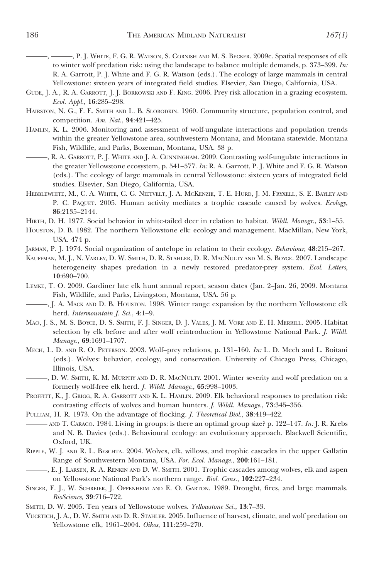- ———, ———, P. J. WHITE, F. G. R. WATSON, S. CORNISH AND M. S. BECKER. 2009c. Spatial responses of elk to winter wolf predation risk: using the landscape to balance multiple demands, p. 373–399. In: R. A. Garrott, P. J. White and F. G. R. Watson (eds.). The ecology of large mammals in central Yellowstone: sixteen years of integrated field studies. Elsevier, San Diego, California, USA.
- GUDE, J. A., R. A. GARROTT, J. J. BORKOWSKI AND F. KING. 2006. Prey risk allocation in a grazing ecosystem. Ecol. Appl., 16:285–298.
- HAIRSTON, N. G., F. E. SMITH AND L. B. SLOBODKIN. 1960. Community structure, population control, and competition. Am. Nat., 94:421–425.
- HAMLIN, K. L. 2006. Monitoring and assessment of wolf-ungulate interactions and population trends within the greater Yellowstone area, southwestern Montana, and Montana statewide. Montana Fish, Wildlife, and Parks, Bozeman, Montana, USA. 38 p.
- ———, R. A. GARROTT, P. J. WHITE AND J. A. CUNNINGHAM. 2009. Contrasting wolf-ungulate interactions in the greater Yellowstone ecosystem, p. 541–577. In: R. A. Garrott, P. J. White and F. G. R. Watson (eds.). The ecology of large mammals in central Yellowstone: sixteen years of integrated field studies. Elsevier, San Diego, California, USA.
- HEBBLEWHITE, M., C. A. WHITE, C. G. NIETVELT, J. A. MCKENZIE, T. E. HURD, J. M. FRYXELL, S. E. BAYLEY AND P. C. PAQUET. 2005. Human activity mediates a trophic cascade caused by wolves. Ecology, 86:2135–2144.
- HIRTH, D. H. 1977. Social behavior in white-tailed deer in relation to habitat. Wildl. Monogr., 53:1–55.
- HOUSTON, D. B. 1982. The northern Yellowstone elk: ecology and management. MacMillan, New York, USA. 474 p.
- JARMAN, P. J. 1974. Social organization of antelope in relation to their ecology. Behaviour, 48:215–267.
- KAUFFMAN, M. J., N. VARLEY, D. W. SMITH, D. R. STAHLER, D. R. MACNULTY AND M. S. BOYCE. 2007. Landscape heterogeneity shapes predation in a newly restored predator-prey system. Ecol. Letters, 10:690–700.
- LEMKE, T. O. 2009. Gardiner late elk hunt annual report, season dates (Jan. 2–Jan. 26, 2009. Montana Fish, Wildlife, and Parks, Livingston, Montana, USA. 56 p.
- ———, J. A. MACK AND D. B. HOUSTON. 1998. Winter range expansion by the northern Yellowstone elk herd. Intermountain J. Sci., 4:1-9.
- MAO, J. S., M. S. BOYCE, D. S. SMITH, F. J. SINGER, D. J. VALES, J. M. VORE AND E. H. MERRILL. 2005. Habitat selection by elk before and after wolf reintroduction in Yellowstone National Park. J. Wildl. Manage., 69:1691–1707.
- MECH, L. D. AND R. O. PETERSON. 2003. Wolf–prey relations, p. 131–160. In: L. D. Mech and L. Boitani (eds.). Wolves: behavior, ecology, and conservation. University of Chicago Press, Chicago, Illinois, USA.
- ———, D. W. SMITH, K. M. MURPHY AND D. R. MACNULTY. 2001. Winter severity and wolf predation on a formerly wolf-free elk herd. J. Wildl. Manage., 65:998–1003.
- PROFFITT, K., J. GRIGG, R. A. GARROTT AND K. L. HAMLIN. 2009. Elk behavioral responses to predation risk: contrasting effects of wolves and human hunters. J. Wildl. Manage., 73:345–356.
- PULLIAM, H. R. 1973. On the advantage of flocking. J. Theoretical Biol., 38:419–422.
- AND T. CARACO. 1984. Living in groups: is there an optimal group size? p. 122-147. In: J. R. Krebs and N. B. Davies (eds.). Behavioural ecology: an evolutionary approach. Blackwell Scientific, Oxford, UK.
- RIPPLE, W. J. AND R. L. BESCHTA. 2004. Wolves, elk, willows, and trophic cascades in the upper Gallatin Range of Southwestern Montana, USA. For. Ecol. Manage., 200:161–181.
- ———, E. J. LARSEN, R. A. RENKIN AND D. W. SMITH. 2001. Trophic cascades among wolves, elk and aspen on Yellowstone National Park's northern range. Biol. Cons., 102:227–234.
- SINGER, F. J., W. SCHREIER, J. OPPENHEIM AND E. O. GARTON. 1989. Drought, fires, and large mammals. BioScience, 39:716–722.
- SMITH, D. W. 2005. Ten years of Yellowstone wolves. Yellowstone Sci., 13:7–33.
- VUCETICH, J. A., D. W. SMITH AND D. R. STAHLER. 2005. Influence of harvest, climate, and wolf predation on Yellowstone elk, 1961–2004. Oikos, 111:259–270.